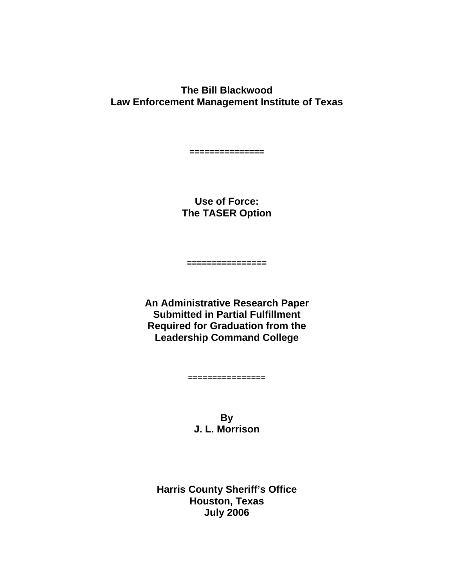**The Bill Blackwood Law Enforcement Management Institute of Texas**

**===============** 

**Use of Force: The TASER Option**

**================** 

**An Administrative Research Paper Submitted in Partial Fulfillment Required for Graduation from the Leadership Command College**

**================**

**By J. L. Morrison**

**Harris County Sheriff's Office Houston, Texas July 2006**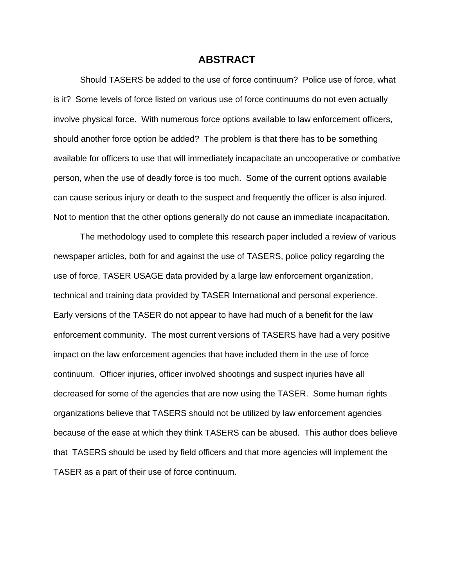#### **ABSTRACT**

 Should TASERS be added to the use of force continuum? Police use of force, what is it? Some levels of force listed on various use of force continuums do not even actually involve physical force. With numerous force options available to law enforcement officers, should another force option be added? The problem is that there has to be something available for officers to use that will immediately incapacitate an uncooperative or combative person, when the use of deadly force is too much. Some of the current options available can cause serious injury or death to the suspect and frequently the officer is also injured. Not to mention that the other options generally do not cause an immediate incapacitation.

 The methodology used to complete this research paper included a review of various newspaper articles, both for and against the use of TASERS, police policy regarding the use of force, TASER USAGE data provided by a large law enforcement organization, technical and training data provided by TASER International and personal experience. Early versions of the TASER do not appear to have had much of a benefit for the law enforcement community. The most current versions of TASERS have had a very positive impact on the law enforcement agencies that have included them in the use of force continuum. Officer injuries, officer involved shootings and suspect injuries have all decreased for some of the agencies that are now using the TASER. Some human rights organizations believe that TASERS should not be utilized by law enforcement agencies because of the ease at which they think TASERS can be abused. This author does believe that TASERS should be used by field officers and that more agencies will implement the TASER as a part of their use of force continuum.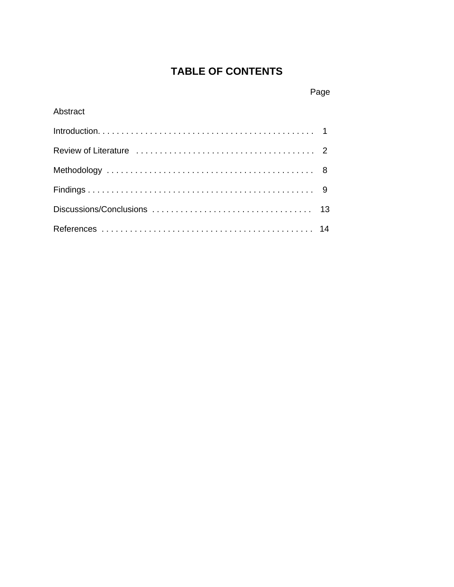# **TABLE OF CONTENTS**

# Page

### Abstract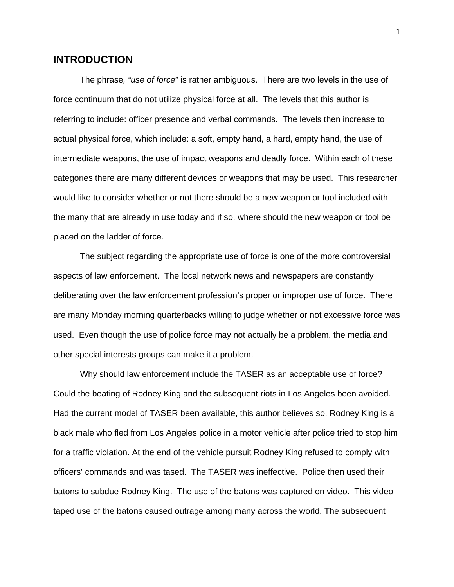#### **INTRODUCTION**

The phrase*, "use of force*" is rather ambiguous. There are two levels in the use of force continuum that do not utilize physical force at all. The levels that this author is referring to include: officer presence and verbal commands. The levels then increase to actual physical force, which include: a soft, empty hand, a hard, empty hand, the use of intermediate weapons, the use of impact weapons and deadly force. Within each of these categories there are many different devices or weapons that may be used. This researcher would like to consider whether or not there should be a new weapon or tool included with the many that are already in use today and if so, where should the new weapon or tool be placed on the ladder of force.

The subject regarding the appropriate use of force is one of the more controversial aspects of law enforcement. The local network news and newspapers are constantly deliberating over the law enforcement profession's proper or improper use of force. There are many Monday morning quarterbacks willing to judge whether or not excessive force was used. Even though the use of police force may not actually be a problem, the media and other special interests groups can make it a problem.

Why should law enforcement include the TASER as an acceptable use of force? Could the beating of Rodney King and the subsequent riots in Los Angeles been avoided. Had the current model of TASER been available, this author believes so. Rodney King is a black male who fled from Los Angeles police in a motor vehicle after police tried to stop him for a traffic violation. At the end of the vehicle pursuit Rodney King refused to comply with officers' commands and was tased. The TASER was ineffective. Police then used their batons to subdue Rodney King. The use of the batons was captured on video. This video taped use of the batons caused outrage among many across the world. The subsequent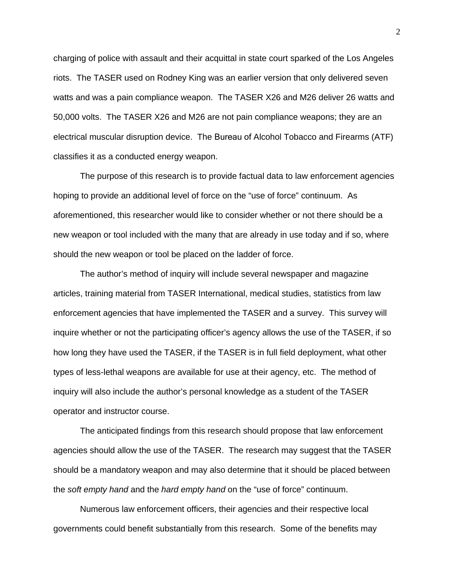charging of police with assault and their acquittal in state court sparked of the Los Angeles riots. The TASER used on Rodney King was an earlier version that only delivered seven watts and was a pain compliance weapon. The TASER X26 and M26 deliver 26 watts and 50,000 volts. The TASER X26 and M26 are not pain compliance weapons; they are an electrical muscular disruption device. The Bureau of Alcohol Tobacco and Firearms (ATF) classifies it as a conducted energy weapon.

The purpose of this research is to provide factual data to law enforcement agencies hoping to provide an additional level of force on the "use of force" continuum. As aforementioned, this researcher would like to consider whether or not there should be a new weapon or tool included with the many that are already in use today and if so, where should the new weapon or tool be placed on the ladder of force.

The author's method of inquiry will include several newspaper and magazine articles, training material from TASER International, medical studies, statistics from law enforcement agencies that have implemented the TASER and a survey. This survey will inquire whether or not the participating officer's agency allows the use of the TASER, if so how long they have used the TASER, if the TASER is in full field deployment, what other types of less-lethal weapons are available for use at their agency, etc. The method of inquiry will also include the author's personal knowledge as a student of the TASER operator and instructor course.

The anticipated findings from this research should propose that law enforcement agencies should allow the use of the TASER. The research may suggest that the TASER should be a mandatory weapon and may also determine that it should be placed between the *soft empty hand* and the *hard empty hand* on the "use of force" continuum.

Numerous law enforcement officers, their agencies and their respective local governments could benefit substantially from this research. Some of the benefits may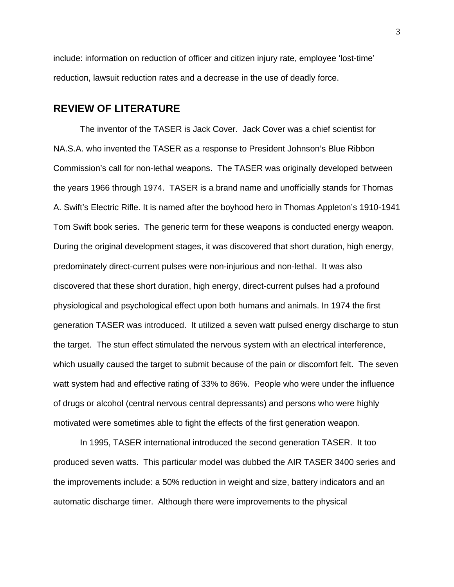include: information on reduction of officer and citizen injury rate, employee 'lost-time' reduction, lawsuit reduction rates and a decrease in the use of deadly force.

#### **REVIEW OF LITERATURE**

The inventor of the TASER is Jack Cover. Jack Cover was a chief scientist for NA.S.A. who invented the TASER as a response to President Johnson's Blue Ribbon Commission's call for non-lethal weapons. The TASER was originally developed between the years 1966 through 1974. TASER is a brand name and unofficially stands for Thomas A. Swift's Electric Rifle. It is named after the boyhood hero in Thomas Appleton's 1910-1941 Tom Swift book series. The generic term for these weapons is conducted energy weapon. During the original development stages, it was discovered that short duration, high energy, predominately direct-current pulses were non-injurious and non-lethal. It was also discovered that these short duration, high energy, direct-current pulses had a profound physiological and psychological effect upon both humans and animals. In 1974 the first generation TASER was introduced. It utilized a seven watt pulsed energy discharge to stun the target. The stun effect stimulated the nervous system with an electrical interference, which usually caused the target to submit because of the pain or discomfort felt. The seven watt system had and effective rating of 33% to 86%. People who were under the influence of drugs or alcohol (central nervous central depressants) and persons who were highly motivated were sometimes able to fight the effects of the first generation weapon.

 In 1995, TASER international introduced the second generation TASER. It too produced seven watts. This particular model was dubbed the AIR TASER 3400 series and the improvements include: a 50% reduction in weight and size, battery indicators and an automatic discharge timer. Although there were improvements to the physical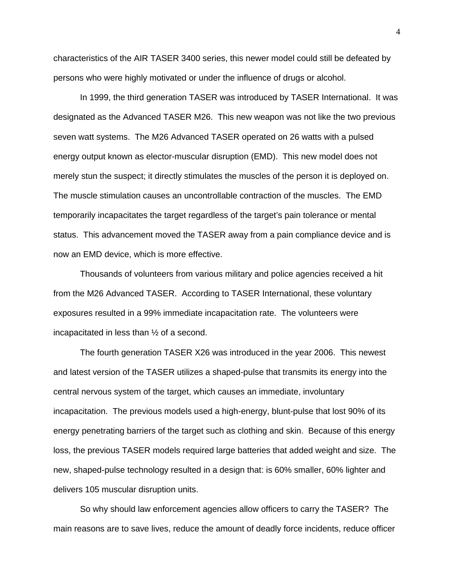characteristics of the AIR TASER 3400 series, this newer model could still be defeated by persons who were highly motivated or under the influence of drugs or alcohol.

 In 1999, the third generation TASER was introduced by TASER International. It was designated as the Advanced TASER M26. This new weapon was not like the two previous seven watt systems. The M26 Advanced TASER operated on 26 watts with a pulsed energy output known as elector-muscular disruption (EMD). This new model does not merely stun the suspect; it directly stimulates the muscles of the person it is deployed on. The muscle stimulation causes an uncontrollable contraction of the muscles. The EMD temporarily incapacitates the target regardless of the target's pain tolerance or mental status. This advancement moved the TASER away from a pain compliance device and is now an EMD device, which is more effective.

Thousands of volunteers from various military and police agencies received a hit from the M26 Advanced TASER. According to TASER International, these voluntary exposures resulted in a 99% immediate incapacitation rate. The volunteers were incapacitated in less than ½ of a second.

The fourth generation TASER X26 was introduced in the year 2006. This newest and latest version of the TASER utilizes a shaped-pulse that transmits its energy into the central nervous system of the target, which causes an immediate, involuntary incapacitation. The previous models used a high-energy, blunt-pulse that lost 90% of its energy penetrating barriers of the target such as clothing and skin. Because of this energy loss, the previous TASER models required large batteries that added weight and size. The new, shaped-pulse technology resulted in a design that: is 60% smaller, 60% lighter and delivers 105 muscular disruption units.

So why should law enforcement agencies allow officers to carry the TASER? The main reasons are to save lives, reduce the amount of deadly force incidents, reduce officer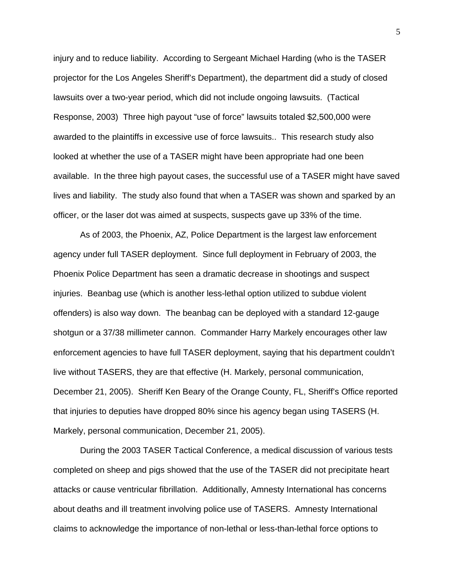injury and to reduce liability. According to Sergeant Michael Harding (who is the TASER projector for the Los Angeles Sheriff's Department), the department did a study of closed lawsuits over a two-year period, which did not include ongoing lawsuits. (Tactical Response, 2003) Three high payout "use of force" lawsuits totaled \$2,500,000 were awarded to the plaintiffs in excessive use of force lawsuits.. This research study also looked at whether the use of a TASER might have been appropriate had one been available. In the three high payout cases, the successful use of a TASER might have saved lives and liability. The study also found that when a TASER was shown and sparked by an officer, or the laser dot was aimed at suspects, suspects gave up 33% of the time.

As of 2003, the Phoenix, AZ, Police Department is the largest law enforcement agency under full TASER deployment. Since full deployment in February of 2003, the Phoenix Police Department has seen a dramatic decrease in shootings and suspect injuries. Beanbag use (which is another less-lethal option utilized to subdue violent offenders) is also way down. The beanbag can be deployed with a standard 12-gauge shotgun or a 37/38 millimeter cannon. Commander Harry Markely encourages other law enforcement agencies to have full TASER deployment, saying that his department couldn't live without TASERS, they are that effective (H. Markely, personal communication, December 21, 2005). Sheriff Ken Beary of the Orange County, FL, Sheriff's Office reported that injuries to deputies have dropped 80% since his agency began using TASERS (H. Markely, personal communication, December 21, 2005).

During the 2003 TASER Tactical Conference, a medical discussion of various tests completed on sheep and pigs showed that the use of the TASER did not precipitate heart attacks or cause ventricular fibrillation. Additionally, Amnesty International has concerns about deaths and ill treatment involving police use of TASERS. Amnesty International claims to acknowledge the importance of non-lethal or less-than-lethal force options to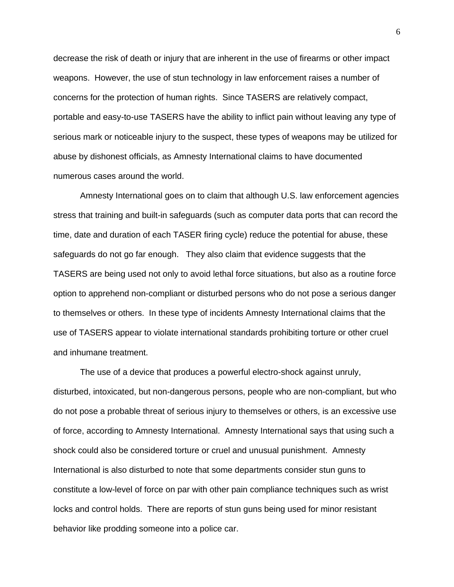decrease the risk of death or injury that are inherent in the use of firearms or other impact weapons. However, the use of stun technology in law enforcement raises a number of concerns for the protection of human rights. Since TASERS are relatively compact, portable and easy-to-use TASERS have the ability to inflict pain without leaving any type of serious mark or noticeable injury to the suspect, these types of weapons may be utilized for abuse by dishonest officials, as Amnesty International claims to have documented numerous cases around the world.

Amnesty International goes on to claim that although U.S. law enforcement agencies stress that training and built-in safeguards (such as computer data ports that can record the time, date and duration of each TASER firing cycle) reduce the potential for abuse, these safeguards do not go far enough. They also claim that evidence suggests that the TASERS are being used not only to avoid lethal force situations, but also as a routine force option to apprehend non-compliant or disturbed persons who do not pose a serious danger to themselves or others. In these type of incidents Amnesty International claims that the use of TASERS appear to violate international standards prohibiting torture or other cruel and inhumane treatment.

The use of a device that produces a powerful electro-shock against unruly, disturbed, intoxicated, but non-dangerous persons, people who are non-compliant, but who do not pose a probable threat of serious injury to themselves or others, is an excessive use of force, according to Amnesty International. Amnesty International says that using such a shock could also be considered torture or cruel and unusual punishment. Amnesty International is also disturbed to note that some departments consider stun guns to constitute a low-level of force on par with other pain compliance techniques such as wrist locks and control holds. There are reports of stun guns being used for minor resistant behavior like prodding someone into a police car.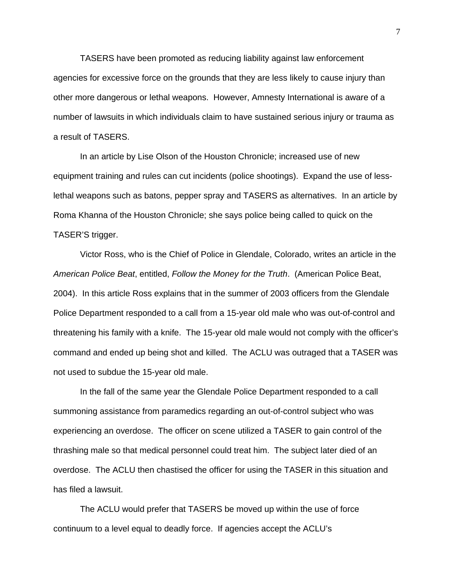TASERS have been promoted as reducing liability against law enforcement agencies for excessive force on the grounds that they are less likely to cause injury than other more dangerous or lethal weapons. However, Amnesty International is aware of a number of lawsuits in which individuals claim to have sustained serious injury or trauma as a result of TASERS.

In an article by Lise Olson of the Houston Chronicle; increased use of new equipment training and rules can cut incidents (police shootings). Expand the use of lesslethal weapons such as batons, pepper spray and TASERS as alternatives. In an article by Roma Khanna of the Houston Chronicle; she says police being called to quick on the TASER'S trigger.

Victor Ross, who is the Chief of Police in Glendale, Colorado, writes an article in the *American Police Beat*, entitled, *Follow the Money for the Truth*. (American Police Beat, 2004). In this article Ross explains that in the summer of 2003 officers from the Glendale Police Department responded to a call from a 15-year old male who was out-of-control and threatening his family with a knife. The 15-year old male would not comply with the officer's command and ended up being shot and killed. The ACLU was outraged that a TASER was not used to subdue the 15-year old male.

In the fall of the same year the Glendale Police Department responded to a call summoning assistance from paramedics regarding an out-of-control subject who was experiencing an overdose. The officer on scene utilized a TASER to gain control of the thrashing male so that medical personnel could treat him. The subject later died of an overdose. The ACLU then chastised the officer for using the TASER in this situation and has filed a lawsuit.

The ACLU would prefer that TASERS be moved up within the use of force continuum to a level equal to deadly force. If agencies accept the ACLU's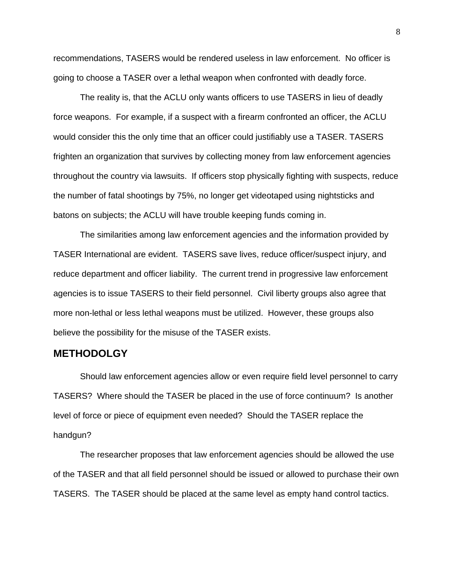recommendations, TASERS would be rendered useless in law enforcement. No officer is going to choose a TASER over a lethal weapon when confronted with deadly force.

The reality is, that the ACLU only wants officers to use TASERS in lieu of deadly force weapons. For example, if a suspect with a firearm confronted an officer, the ACLU would consider this the only time that an officer could justifiably use a TASER. TASERS frighten an organization that survives by collecting money from law enforcement agencies throughout the country via lawsuits. If officers stop physically fighting with suspects, reduce the number of fatal shootings by 75%, no longer get videotaped using nightsticks and batons on subjects; the ACLU will have trouble keeping funds coming in.

The similarities among law enforcement agencies and the information provided by TASER International are evident. TASERS save lives, reduce officer/suspect injury, and reduce department and officer liability. The current trend in progressive law enforcement agencies is to issue TASERS to their field personnel. Civil liberty groups also agree that more non-lethal or less lethal weapons must be utilized. However, these groups also believe the possibility for the misuse of the TASER exists.

#### **METHODOLGY**

Should law enforcement agencies allow or even require field level personnel to carry TASERS? Where should the TASER be placed in the use of force continuum? Is another level of force or piece of equipment even needed? Should the TASER replace the handgun?

The researcher proposes that law enforcement agencies should be allowed the use of the TASER and that all field personnel should be issued or allowed to purchase their own TASERS. The TASER should be placed at the same level as empty hand control tactics.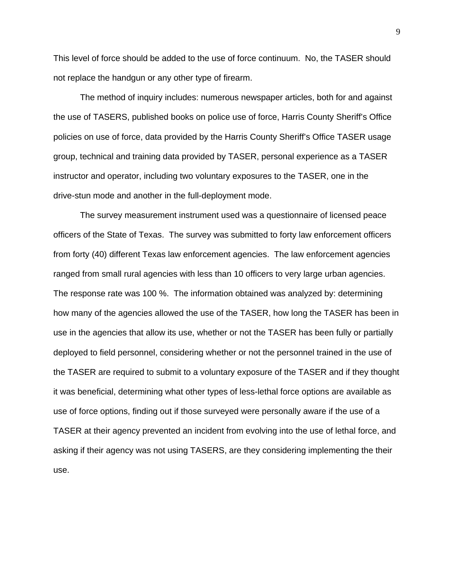This level of force should be added to the use of force continuum. No, the TASER should not replace the handgun or any other type of firearm.

The method of inquiry includes: numerous newspaper articles, both for and against the use of TASERS, published books on police use of force, Harris County Sheriff's Office policies on use of force, data provided by the Harris County Sheriff's Office TASER usage group, technical and training data provided by TASER, personal experience as a TASER instructor and operator, including two voluntary exposures to the TASER, one in the drive-stun mode and another in the full-deployment mode.

The survey measurement instrument used was a questionnaire of licensed peace officers of the State of Texas. The survey was submitted to forty law enforcement officers from forty (40) different Texas law enforcement agencies. The law enforcement agencies ranged from small rural agencies with less than 10 officers to very large urban agencies. The response rate was 100 %. The information obtained was analyzed by: determining how many of the agencies allowed the use of the TASER, how long the TASER has been in use in the agencies that allow its use, whether or not the TASER has been fully or partially deployed to field personnel, considering whether or not the personnel trained in the use of the TASER are required to submit to a voluntary exposure of the TASER and if they thought it was beneficial, determining what other types of less-lethal force options are available as use of force options, finding out if those surveyed were personally aware if the use of a TASER at their agency prevented an incident from evolving into the use of lethal force, and asking if their agency was not using TASERS, are they considering implementing the their use.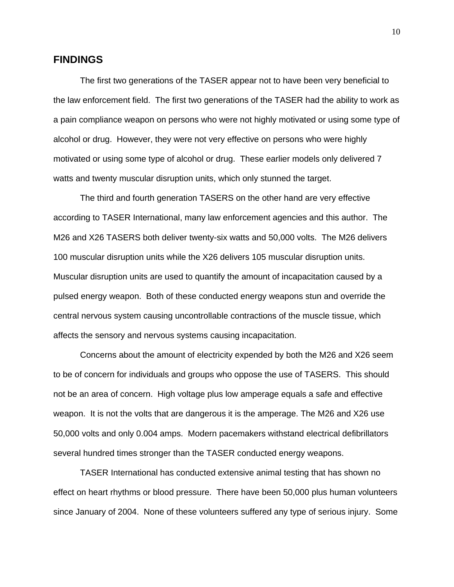#### **FINDINGS**

 The first two generations of the TASER appear not to have been very beneficial to the law enforcement field. The first two generations of the TASER had the ability to work as a pain compliance weapon on persons who were not highly motivated or using some type of alcohol or drug. However, they were not very effective on persons who were highly motivated or using some type of alcohol or drug. These earlier models only delivered 7 watts and twenty muscular disruption units, which only stunned the target.

 The third and fourth generation TASERS on the other hand are very effective according to TASER International, many law enforcement agencies and this author. The M26 and X26 TASERS both deliver twenty-six watts and 50,000 volts. The M26 delivers 100 muscular disruption units while the X26 delivers 105 muscular disruption units. Muscular disruption units are used to quantify the amount of incapacitation caused by a pulsed energy weapon. Both of these conducted energy weapons stun and override the central nervous system causing uncontrollable contractions of the muscle tissue, which affects the sensory and nervous systems causing incapacitation.

 Concerns about the amount of electricity expended by both the M26 and X26 seem to be of concern for individuals and groups who oppose the use of TASERS. This should not be an area of concern. High voltage plus low amperage equals a safe and effective weapon. It is not the volts that are dangerous it is the amperage. The M26 and X26 use 50,000 volts and only 0.004 amps. Modern pacemakers withstand electrical defibrillators several hundred times stronger than the TASER conducted energy weapons.

TASER International has conducted extensive animal testing that has shown no effect on heart rhythms or blood pressure. There have been 50,000 plus human volunteers since January of 2004. None of these volunteers suffered any type of serious injury. Some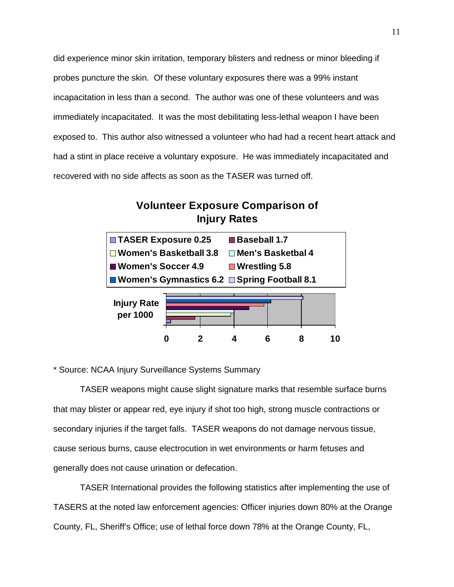did experience minor skin irritation, temporary blisters and redness or minor bleeding if probes puncture the skin. Of these voluntary exposures there was a 99% instant incapacitation in less than a second. The author was one of these volunteers and was immediately incapacitated. It was the most debilitating less-lethal weapon I have been exposed to. This author also witnessed a volunteer who had had a recent heart attack and had a stint in place receive a voluntary exposure. He was immediately incapacitated and recovered with no side affects as soon as the TASER was turned off.

## **Volunteer Exposure Comparison of Injury Rates**



\* Source: NCAA Injury Surveillance Systems Summary

TASER weapons might cause slight signature marks that resemble surface burns that may blister or appear red, eye injury if shot too high, strong muscle contractions or secondary injuries if the target falls. TASER weapons do not damage nervous tissue, cause serious burns, cause electrocution in wet environments or harm fetuses and generally does not cause urination or defecation.

TASER International provides the following statistics after implementing the use of TASERS at the noted law enforcement agencies: Officer injuries down 80% at the Orange County, FL, Sheriff's Office; use of lethal force down 78% at the Orange County, FL,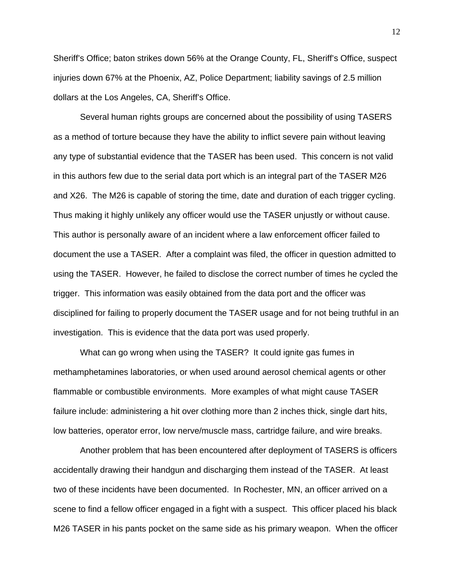Sheriff's Office; baton strikes down 56% at the Orange County, FL, Sheriff's Office, suspect injuries down 67% at the Phoenix, AZ, Police Department; liability savings of 2.5 million dollars at the Los Angeles, CA, Sheriff's Office.

 Several human rights groups are concerned about the possibility of using TASERS as a method of torture because they have the ability to inflict severe pain without leaving any type of substantial evidence that the TASER has been used. This concern is not valid in this authors few due to the serial data port which is an integral part of the TASER M26 and X26. The M26 is capable of storing the time, date and duration of each trigger cycling. Thus making it highly unlikely any officer would use the TASER unjustly or without cause. This author is personally aware of an incident where a law enforcement officer failed to document the use a TASER. After a complaint was filed, the officer in question admitted to using the TASER. However, he failed to disclose the correct number of times he cycled the trigger. This information was easily obtained from the data port and the officer was disciplined for failing to properly document the TASER usage and for not being truthful in an investigation. This is evidence that the data port was used properly.

What can go wrong when using the TASER? It could ignite gas fumes in methamphetamines laboratories, or when used around aerosol chemical agents or other flammable or combustible environments. More examples of what might cause TASER failure include: administering a hit over clothing more than 2 inches thick, single dart hits, low batteries, operator error, low nerve/muscle mass, cartridge failure, and wire breaks.

Another problem that has been encountered after deployment of TASERS is officers accidentally drawing their handgun and discharging them instead of the TASER. At least two of these incidents have been documented. In Rochester, MN, an officer arrived on a scene to find a fellow officer engaged in a fight with a suspect. This officer placed his black M26 TASER in his pants pocket on the same side as his primary weapon. When the officer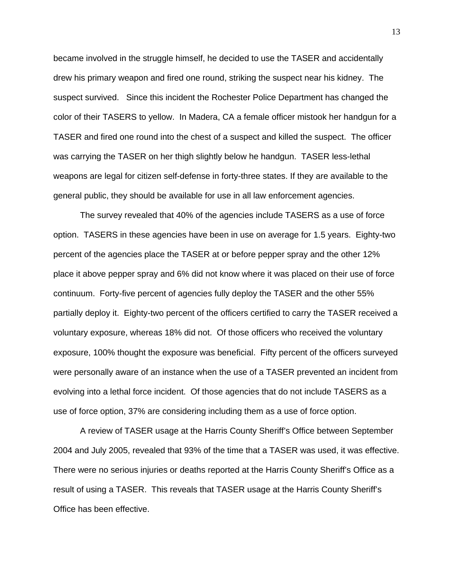became involved in the struggle himself, he decided to use the TASER and accidentally drew his primary weapon and fired one round, striking the suspect near his kidney. The suspect survived. Since this incident the Rochester Police Department has changed the color of their TASERS to yellow. In Madera, CA a female officer mistook her handgun for a TASER and fired one round into the chest of a suspect and killed the suspect. The officer was carrying the TASER on her thigh slightly below he handgun. TASER less-lethal weapons are legal for citizen self-defense in forty-three states. If they are available to the general public, they should be available for use in all law enforcement agencies.

The survey revealed that 40% of the agencies include TASERS as a use of force option. TASERS in these agencies have been in use on average for 1.5 years. Eighty-two percent of the agencies place the TASER at or before pepper spray and the other 12% place it above pepper spray and 6% did not know where it was placed on their use of force continuum. Forty-five percent of agencies fully deploy the TASER and the other 55% partially deploy it. Eighty-two percent of the officers certified to carry the TASER received a voluntary exposure, whereas 18% did not. Of those officers who received the voluntary exposure, 100% thought the exposure was beneficial. Fifty percent of the officers surveyed were personally aware of an instance when the use of a TASER prevented an incident from evolving into a lethal force incident. Of those agencies that do not include TASERS as a use of force option, 37% are considering including them as a use of force option.

A review of TASER usage at the Harris County Sheriff's Office between September 2004 and July 2005, revealed that 93% of the time that a TASER was used, it was effective. There were no serious injuries or deaths reported at the Harris County Sheriff's Office as a result of using a TASER. This reveals that TASER usage at the Harris County Sheriff's Office has been effective.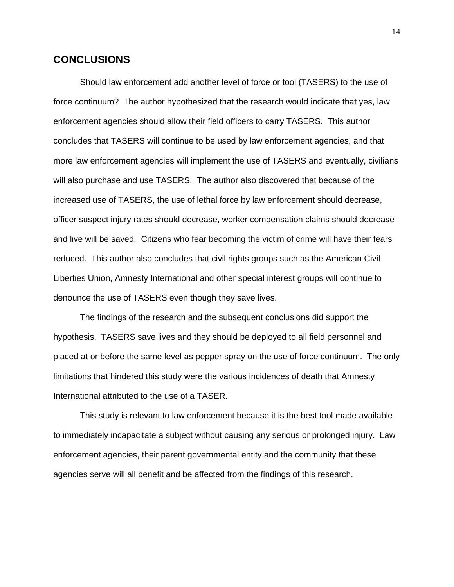#### **CONCLUSIONS**

Should law enforcement add another level of force or tool (TASERS) to the use of force continuum? The author hypothesized that the research would indicate that yes, law enforcement agencies should allow their field officers to carry TASERS. This author concludes that TASERS will continue to be used by law enforcement agencies, and that more law enforcement agencies will implement the use of TASERS and eventually, civilians will also purchase and use TASERS. The author also discovered that because of the increased use of TASERS, the use of lethal force by law enforcement should decrease, officer suspect injury rates should decrease, worker compensation claims should decrease and live will be saved. Citizens who fear becoming the victim of crime will have their fears reduced. This author also concludes that civil rights groups such as the American Civil Liberties Union, Amnesty International and other special interest groups will continue to denounce the use of TASERS even though they save lives.

The findings of the research and the subsequent conclusions did support the hypothesis. TASERS save lives and they should be deployed to all field personnel and placed at or before the same level as pepper spray on the use of force continuum. The only limitations that hindered this study were the various incidences of death that Amnesty International attributed to the use of a TASER.

This study is relevant to law enforcement because it is the best tool made available to immediately incapacitate a subject without causing any serious or prolonged injury. Law enforcement agencies, their parent governmental entity and the community that these agencies serve will all benefit and be affected from the findings of this research.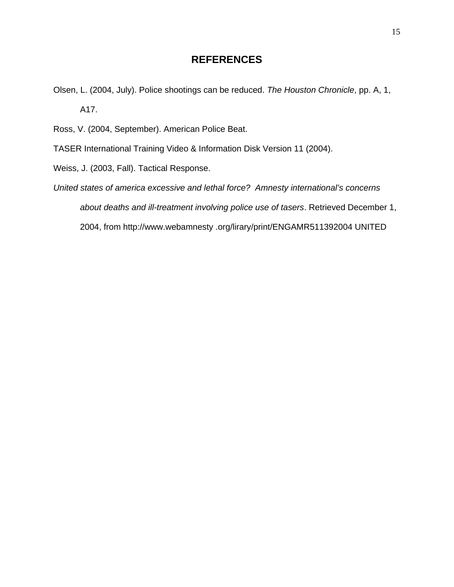## **REFERENCES**

- Olsen, L. (2004, July). Police shootings can be reduced. *The Houston Chronicle*, pp. A, 1, A17.
- Ross, V. (2004, September). American Police Beat.
- TASER International Training Video & Information Disk Version 11 (2004).
- Weiss, J. (2003, Fall). Tactical Response.
- *United states of america excessive and lethal force? Amnesty international's concerns about deaths and ill-treatment involving police use of tasers*. Retrieved December 1, 2004, from http://www.webamnesty .org/lirary/print/ENGAMR511392004 UNITED